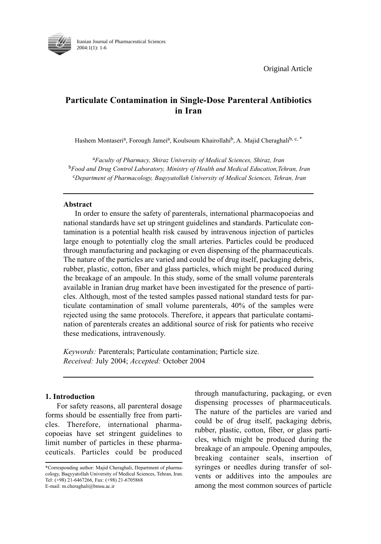Original Article



# Particulate Contamination in Single-Dose Parenteral Antibiotics in Iran

Hashem Montaseri<sup>a</sup>, Forough Jamei<sup>a</sup>, Koulsoum Khairollahi<sup>b</sup>, A. Majid Cheraghali<sup>b, c, \*</sup>

<sup>a</sup>Faculty of Pharmacy, Shiraz University of Medical Sciences, Shiraz, Iran <sup>b</sup>Food and Drug Control Laboratory, Ministry of Health and Medical Education, Tehran, Iran <sup>c</sup>Department of Pharmacology, Baqyyatollah University of Medical Sciences, Tehran, Iran

## Abstract

In order to ensure the safety of parenterals, international pharmacopoeias and national standards have set up stringent guidelines and standards. Particulate contamination is a potential health risk caused by intravenous injection of particles large enough to potentially clog the small arteries. Particles could be produced through manufacturing and packaging or even dispensing of the pharmaceuticals. The nature of the particles are varied and could be of drug itself, packaging debris, rubber, plastic, cotton, fiber and glass particles, which might be produced during the breakage of an ampoule. In this study, some of the small volume parenterals available in Iranian drug market have been investigated for the presence of particles. Although, most of the tested samples passed national standard tests for particulate contamination of small volume parenterals, 40% of the samples were rejected using the same protocols. Therefore, it appears that particulate contamination of parenterals creates an additional source of risk for patients who receive these medications, intravenously.

Keywords: Parenterals; Particulate contamination; Particle size. Received: July 2004; Accepted: October 2004

# 1. Introduction

For safety reasons, all parenteral dosage forms should be essentially free from particles. Therefore, international pharmacopoeias have set stringent guidelines to limit number of particles in these pharmaceuticals. Particles could be produced through manufacturing, packaging, or even dispensing processes of pharmaceuticals. The nature of the particles are varied and could be of drug itself, packaging debris, rubber, plastic, cotton, fiber, or glass particles, which might be produced during the breakage of an ampoule. Opening ampoules, breaking container seals, insertion of syringes or needles during transfer of solvents or additives into the ampoules are among the most common sources of particle

<sup>\*</sup>Corresponding author: Majid Cheraghali, Department of pharmacology, Baqyyatollah University of Medical Sciences, Tehran, Iran. Tel: (+98) 21-6467266, Fax: (+98) 21-6705868 E-mail: m.cheraghali@bmsu.ac.ir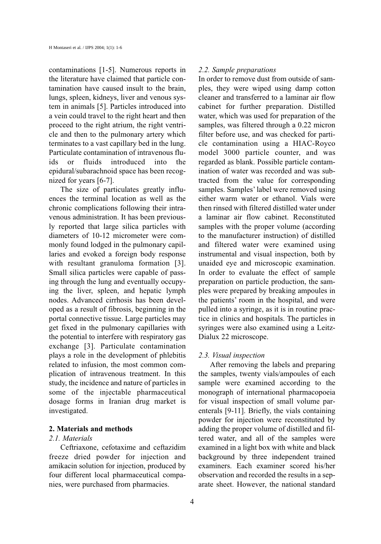contaminations [1-5]. Numerous reports in the literature have claimed that particle contamination have caused insult to the brain, lungs, spleen, kidneys, liver and venous system in animals [5]. Particles introduced into a vein could travel to the right heart and then proceed to the right atrium, the right ventricle and then to the pulmonary artery which terminates to a vast capillary bed in the lung. Particulate contamination of intravenous fluids or fluids introduced into the epidural/subarachnoid space has been recognized for years [6-7].

The size of particulates greatly influences the terminal location as well as the chronic complications following their intravenous administration. It has been previously reported that large silica particles with diameters of 10-12 micrometer were commonly found lodged in the pulmonary capillaries and evoked a foreign body response with resultant granuloma formation [3]. Small silica particles were capable of passing through the lung and eventually occupying the liver, spleen, and hepatic lymph nodes. Advanced cirrhosis has been developed as a result of fibrosis, beginning in the portal connective tissue. Large particles may get fixed in the pulmonary capillaries with the potential to interfere with respiratory gas exchange [3]. Particulate contamination plays a role in the development of phlebitis related to infusion, the most common complication of intravenous treatment. In this study, the incidence and nature of particles in some of the injectable pharmaceutical dosage forms in Iranian drug market is investigated.

## 2. Materials and methods

## 2.1. Materials

Ceftriaxone, cefotaxime and ceftazidim freeze dried powder for injection and amikacin solution for injection, produced by four different local pharmaceutical companies, were purchased from pharmacies.

# 2.2. Sample preparations

In order to remove dust from outside of samples, they were wiped using damp cotton cleaner and transferred to a laminar air flow cabinet for further preparation. Distilled water, which was used for preparation of the samples, was filtered through a 0.22 micron filter before use, and was checked for particle contamination using a HIAC-Royco model 3000 particle counter, and was regarded as blank. Possible particle contamination of water was recorded and was subtracted from the value for corresponding samples. Samples' label were removed using either warm water or ethanol. Vials were then rinsed with filtered distilled water under a laminar air flow cabinet. Reconstituted samples with the proper volume (according to the manufacturer instruction) of distilled and filtered water were examined using instrumental and visual inspection, both by unaided eye and microscopic examination. In order to evaluate the effect of sample preparation on particle production, the samples were prepared by breaking ampoules in the patients' room in the hospital, and were pulled into a syringe, as it is in routine practice in clinics and hospitals. The particles in syringes were also examined using a Leitz-Dialux 22 microscope.

#### 2.3. Visual inspection

After removing the labels and preparing the samples, twenty vials/ampoules of each sample were examined according to the monograph of international pharmacopoeia for visual inspection of small volume parenterals [9-11]. Briefly, the vials containing powder for injection were reconstituted by adding the proper volume of distilled and filtered water, and all of the samples were examined in a light box with white and black background by three independent trained examiners. Each examiner scored his/her observation and recorded the results in a separate sheet. However, the national standard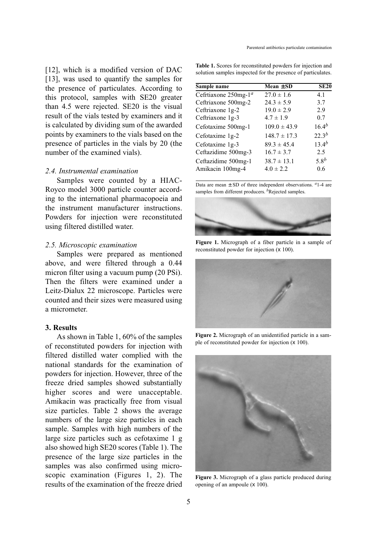[12], which is a modified version of DAC [13], was used to quantify the samples for the presence of particulates. According to this protocol, samples with SE20 greater than 4.5 were rejected. SE20 is the visual result of the vials tested by examiners and it is calculated by dividing sum of the awarded points by examiners to the vials based on the presence of particles in the vials by 20 (the number of the examined vials).

#### 2.4. Instrumental examination

Samples were counted by a HIAC-Royco model 3000 particle counter according to the international pharmacopoeia and the instrument manufacturer instructions. Powders for injection were reconstituted using filtered distilled water.

#### 2.5. Microscopic examination

Samples were prepared as mentioned above, and were filtered through a 0.44 micron filter using a vacuum pump (20 PSi). Then the filters were examined under a Leitz-Dialux 22 microscope. Particles were counted and their sizes were measured using a micrometer.

# 3. Results

As shown in Table 1, 60% of the samples of reconstituted powders for injection with filtered distilled water complied with the national standards for the examination of powders for injection. However, three of the freeze dried samples showed substantially higher scores and were unacceptable. Amikacin was practically free from visual size particles. Table 2 shows the average numbers of the large size particles in each sample. Samples with high numbers of the large size particles such as cefotaxime 1 g also showed high SE20 scores (Table 1). The presence of the large size particles in the samples was also confirmed using microscopic examination (Figures 1, 2). The results of the examination of the freeze dried

Table 1. Scores for reconstituted powders for injection and solution samples inspected for the presence of particulates.

| Mean ± SD        | <b>SE20</b>      |
|------------------|------------------|
| $27.0 \pm 1.6$   | 4.1              |
| $24.3 \pm 5.9$   | 3.7              |
| $19.0 \pm 2.9$   | 2.9              |
| $4.7 \pm 1.9$    | 0.7              |
| $109.0 \pm 43.9$ | $16.4^{b}$       |
| $148.7 \pm 17.3$ | $22.3^{b}$       |
| $89.3 \pm 45.4$  | $13.4^{b}$       |
| $16.7 \pm 3.7$   | 2.5              |
| $38.7 \pm 13.1$  | 5.8 <sup>b</sup> |
| $4.0 \pm 2.2$    | 0.6              |
|                  |                  |

Data are mean  $\pm$  SD of three independent observations.  $a$ 1-4 are samples from different producers.  ${}^b$ Rejected samples.



Figure 1. Micrograph of a fiber particle in a sample of reconstituted powder for injection (x 100).



Figure 2. Micrograph of an unidentified particle in a sample of reconstituted powder for injection (x 100).



Figure 3. Micrograph of a glass particle produced during opening of an ampoule (x 100).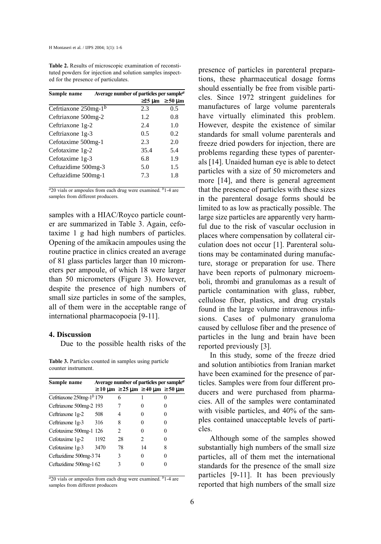Table 2. Results of microscopic examination of reconstituted powders for injection and solution samples inspected for the presence of particulates.

| Sample name                | Average number of particles per sample <sup><math>a</math></sup> |                           |  |  |
|----------------------------|------------------------------------------------------------------|---------------------------|--|--|
|                            |                                                                  | $\geq$ 25 µm $\geq$ 50 µm |  |  |
| Cefrtiaxone $250$ mg- $1b$ | 2.3                                                              | 0.5                       |  |  |
| Ceftriaxone 500mg-2        | 1.2                                                              | 0.8                       |  |  |
| Ceftriaxone 1g-2           | 2.4                                                              | 1.0                       |  |  |
| Ceftriaxone 1g-3           | 0.5                                                              | 0.2                       |  |  |
| Cefotaxime 500mg-1         | 2.3                                                              | 2.0                       |  |  |
| Cefotaxime 1g-2            | 35.4                                                             | 5.4                       |  |  |
| Cefotaxime 1g-3            | 6.8                                                              | 1.9                       |  |  |
| Ceftazidime 500mg-3        | 5.0                                                              | 1.5                       |  |  |
| Ceftazidime 500mg-1        | 7.3                                                              | 1.8                       |  |  |

 $a_{20}$  vials or ampoules from each drug were examined.  $b_{1-4}$  are samples from different producers.

samples with a HIAC/Royco particle counter are summarized in Table 3. Again, cefotaxime 1 g had high numbers of particles. Opening of the amikacin ampoules using the routine practice in clinics created an average of 81 glass particles larger than 10 micrometers per ampoule, of which 18 were larger than 50 micrometers (Figure 3). However, despite the presence of high numbers of small size particles in some of the samples, all of them were in the acceptable range of international pharmacopoeia [9-11].

## 4. Discussion

Due to the possible health risks of the

Table 3. Particles counted in samples using particle counter instrument.

| Sample name                 | Average number of particles per sample <sup><math>a</math></sup> |                               |                                                                   |   |
|-----------------------------|------------------------------------------------------------------|-------------------------------|-------------------------------------------------------------------|---|
|                             |                                                                  |                               | $\geq 10 \ \mu m \geq 25 \ \mu m \geq 40 \ \mu m \geq 50 \ \mu m$ |   |
| Cefrtiaxone 250mg- $1b$ 179 |                                                                  | 6                             |                                                                   |   |
| Ceftriaxone 500mg-2 193     |                                                                  |                               |                                                                   | 0 |
| Ceftriaxone 1g-2            | 508                                                              | 4                             |                                                                   | 0 |
| Ceftriaxone 1g-3            | 316                                                              | 8                             |                                                                   |   |
| Cefotaxime 500mg-1 126      |                                                                  | $\mathfrak{D}_{\mathfrak{p}}$ |                                                                   | 0 |
| Cefotaxime 1g-2             | 1192                                                             | 28                            | 2.                                                                | 0 |
| Cefotaxime 1g-3             | 3470                                                             | 78                            | 14                                                                | 8 |
| Ceftazidime 500mg-374       |                                                                  | 3                             | $\mathbf{0}$                                                      |   |
| Ceftazidime 500mg-1 62      |                                                                  | 3                             |                                                                   |   |

 $a_{20}$  vials or ampoules from each drug were examined.  $b_{1-4}$  are samples from different producers

presence of particles in parenteral preparations, these pharmaceutical dosage forms should essentially be free from visible particles. Since 1972 stringent guidelines for manufactures of large volume parenterals have virtually eliminated this problem. However, despite the existence of similar standards for small volume parenterals and freeze dried powders for injection, there are problems regarding these types of parenterals [14]. Unaided human eye is able to detect particles with a size of 50 micrometers and more [14], and there is general agreement that the presence of particles with these sizes in the parenteral dosage forms should be limited to as low as practically possible. The large size particles are apparently very harmful due to the risk of vascular occlusion in places where compensation by collateral circulation does not occur [1]. Parenteral solutions may be contaminated during manufacture, storage or preparation for use. There have been reports of pulmonary microemboli, thrombi and granulomas as a result of particle contamination with glass, rubber, cellulose fiber, plastics, and drug crystals found in the large volume intravenous infusions. Cases of pulmonary granuloma caused by cellulose fiber and the presence of particles in the lung and brain have been reported previously [3].

In this study, some of the freeze dried and solution antibiotics from Iranian market have been examined for the presence of particles. Samples were from four different producers and were purchased from pharmacies. All of the samples were contaminated with visible particles, and 40% of the samples contained unacceptable levels of particles.

Although some of the samples showed substantially high numbers of the small size particles, all of them met the international standards for the presence of the small size particles [9-11]. It has been previously reported that high numbers of the small size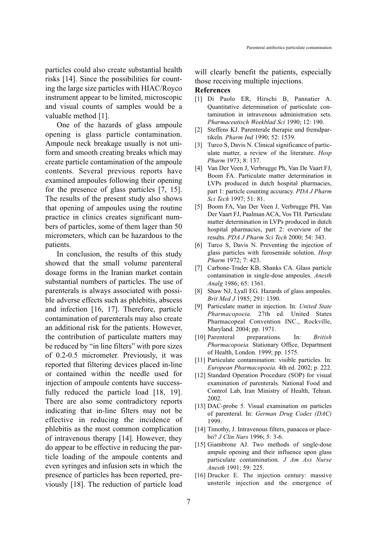particles could also create substantial health risks [14]. Since the possibilities for counting the large size particles with HIAC/Royco instrument appear to be limited, microscopic and visual counts of samples would be a valuable method [1].

One of the hazards of glass ampoule opening is glass particle contamination. Ampoule neck breakage usually is not uniform and smooth creating breaks which may create particle contamination of the ampoule contents. Several previous reports have examined ampoules following their opening for the presence of glass particles [7, 15]. The results of the present study also shows that opening of ampoules using the routine practice in clinics creates significant numbers of particles, some of them lager than 50 micrometers, which can be hazardous to the patients.

In conclusion, the results of this study showed that the small volume parenteral dosage forms in the Iranian market contain substantial numbers of particles. The use of parenterals is always associated with possible adverse effects such as phlebitis, abscess and infection [16, 17]. Therefore, particle contamination of parenterals may also create an additional risk for the patients. However, the contribution of particulate matters may be reduced by "in line filters" with pore sizes of 0.2-0.5 micrometer. Previously, it was reported that filtering devices placed in-line or contained within the needle used for injection of ampoule contents have successfully reduced the particle load [18, 19]. There are also some contradictory reports indicating that in-line filters may not be effective in reducing the incidence of phlebitis as the most common complication of intravenous therapy [14]. However, they do appear to be effective in reducing the particle loading of the ampoule contents and even syringes and infusion sets in which the presence of particles has been reported, previously [18]. The reduction of particle load

will clearly benefit the patients, especially those receiving multiple injections.

# **References**

- [1] Di Paolo ER, Hirschi B, Pannatier A. Quantitative determination of particulate contamination in intravenous administration sets. Pharmaceutisch Weekblad Sci 1990; 12: 190.
- [2] Steffens KJ. Parenterale therapie und fremdpartikeln. Pharm Ind 1990; 52: 1539.
- [3] Turco S, Davis N. Clinical significance of particulate matter, a review of the literature. Hosp Pharm 1973; 8: 137.
- [4] Van Der Veen J, Verbrugge Ph, Van De Vaart FJ, Boom FA. Particulate matter determination in LVPs produced in dutch hospital pharmacies, part 1: particle counting accuracy. PDA J Pharm Sci Tech 1997; 51: 81.
- [5] Boom FA, Van Der Veen J, Verbrugge PH, Van Der Vaart FJ, Paalman ACA, Vos TH. Particulate matter determination in LVPs produced in dutch hospital pharmacies, part 2: overview of the results. PDA J Pharm Sci Tech 2000; 54: 343.
- [6] Turco S, Davis N. Preventing the injection of glass particles with furosemide solution. Hosp Pharm 1972; 7: 423.
- [7] Carbone-Trader KB, Shanks CA. Glass particle contamination in single-dose ampoules. Anesth Analg 1986; 65: 1361.
- [8] Shaw NJ, Lyall EG. Hazards of glass ampoules. Brit Med J 1985; 291: 1390.
- [9] Particulate matter in injection. In: United State Pharmacopoeia. 27th ed. United States Pharmacopeal Convention INC., Rockville, Maryland. 2004; pp. 1971.
- [10] Parenteral preparations. In: British Pharmacopoeia. Stationary Office, Department of Health, London. 1999; pp. 1575.
- [11] Particulate contamination: visible particles. In: European Pharmacopoeia. 4th ed. 2002; p. 222.
- [12] Standard Operation Procedure (SOP) for visual examination of parenterals. National Food and Control Lab, Iran Ministry of Health, Tehran. 2002.
- [13] DAC-probe 5. Visual examination on particles of parenteral. In: German Drug Codex (DAC) 1999.
- [14] Timothy, J. Intravenous filters, panacea or placebo? J Clin Nurs 1996; 5: 3-6.
- [15] Giambrone AJ. Two methods of single-dose ampule opening and their influence upon glass particulate contamination. J Am Ass Nurse Anesth 1991; 59: 225.
- [16] Drucker E. The injection century: massive unsterile injection and the emergence of